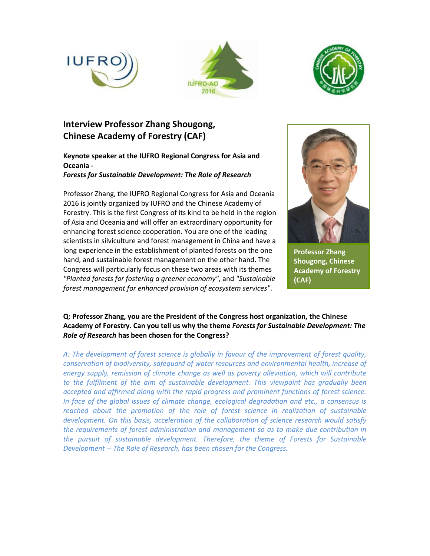





# **Interview Professor Zhang Shougong, Chinese Academy of Forestry (CAF)**

**Keynote speaker at the IUFRO Regional Congress for Asia and Oceania -** *Forests for Sustainable Development: The Role of Research*

Professor Zhang, the IUFRO Regional Congress for Asia and Oceania 2016 is jointly organized by IUFRO and the Chinese Academy of Forestry. This is the first Congress of its kind to be held in the region of Asia and Oceania and will offer an extraordinary opportunity for enhancing forest science cooperation. You are one of the leading scientists in silviculture and forest management in China and have a long experience in the establishment of planted forests on the one hand, and sustainable forest management on the other hand. The Congress will particularly focus on these two areas with its themes *"Planted forests for fostering a greener economy"*, and *"Sustainable forest management for enhanced provision of ecosystem services"*.



**Professor Zhang Shougong, Chinese Academy of Forestry (CAF)**

## **Q: Professor Zhang, you are the President of the Congress host organization, the Chinese Academy of Forestry. Can you tell us why the theme** *Forests for Sustainable Development: The Role of Research* **has been chosen for the Congress?**

*A: The development of forest science is globally in favour of the improvement of forest quality, conservation of biodiversity, safeguard of water resources and environmental health, increase of energy supply, remission of climate change as well as poverty alleviation, which will contribute*  to the fulfilment of the aim of sustainable development. This viewpoint has gradually been *accepted and affirmed along with the rapid progress and prominent functions of forest science. In face of the global issues of climate change, ecological degradation and etc., a consensus is reached about the promotion of the role of forest science in realization of sustainable development. On this basis, acceleration of the collaboration of science research would satisfy the requirements of forest administration and management so as to make due contribution in the pursuit of sustainable development. Therefore, the theme of Forests for Sustainable Development -- The Role of Research, has been chosen for the Congress.*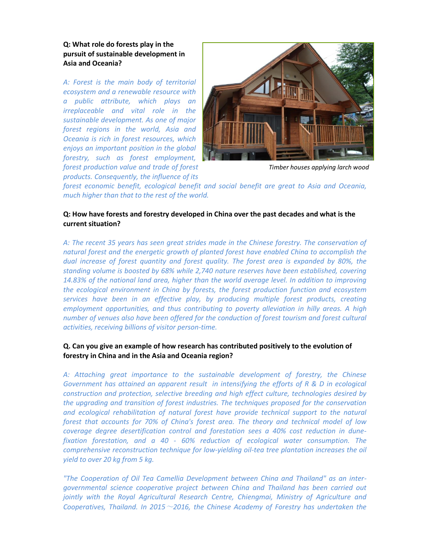**Q: What role do forests play in the pursuit of sustainable development in Asia and Oceania?**

*A: Forest is the main body of territorial ecosystem and a renewable resource with a public attribute, which plays an irreplaceable and vital role in the sustainable development. As one of major forest regions in the world, Asia and Oceania is rich in forest resources, which enjoys an important position in the global forestry, such as forest employment, forest production value and trade of forest products. Consequently, the influence of its* 



*Timber houses applying larch wood*

*forest economic benefit, ecological benefit and social benefit are great to Asia and Oceania, much higher than that to the rest of the world.*

#### **Q: How have forests and forestry developed in China over the past decades and what is the current situation?**

*A: The recent 35 years has seen great strides made in the Chinese forestry. The conservation of natural forest and the energetic growth of planted forest have enabled China to accomplish the dual increase of forest quantity and forest quality. The forest area is expanded by 80%, the standing volume is boosted by 68% while 2,740 nature reserves have been established, covering 14.83% of the national land area, higher than the world average level. In addition to improving the ecological environment in China by forests, the forest production function and ecosystem services have been in an effective play, by producing multiple forest products, creating employment opportunities, and thus contributing to poverty alleviation in hilly areas. A high number of venues also have been offered for the conduction of forest tourism and forest cultural activities, receiving billions of visitor person-time.*

#### **Q. Can you give an example of how research has contributed positively to the evolution of forestry in China and in the Asia and Oceania region?**

*A: Attaching great importance to the sustainable development of forestry, the Chinese Government has attained an apparent result in intensifying the efforts of R & D in ecological construction and protection, selective breeding and high effect culture, technologies desired by the upgrading and transition of forest industries. The techniques proposed for the conservation*  and ecological rehabilitation of natural forest have provide technical support to the natural *forest that accounts for 70% of China's forest area. The theory and technical model of low coverage degree desertification control and forestation sees a 40% cost reduction in dunefixation forestation, and a 40 - 60% reduction of ecological water consumption. The comprehensive reconstruction technique for low-yielding oil-tea tree plantation increases the oil yield to over 20 kg from 5 kg.*

*"The Cooperation of Oil Tea Camellia Development between China and Thailand" as an intergovernmental science cooperative project between China and Thailand has been carried out jointly with the Royal Agricultural Research Centre, Chiengmai, Ministry of Agriculture and Cooperatives, Thailand. In 2015*~*2016, the Chinese Academy of Forestry has undertaken the*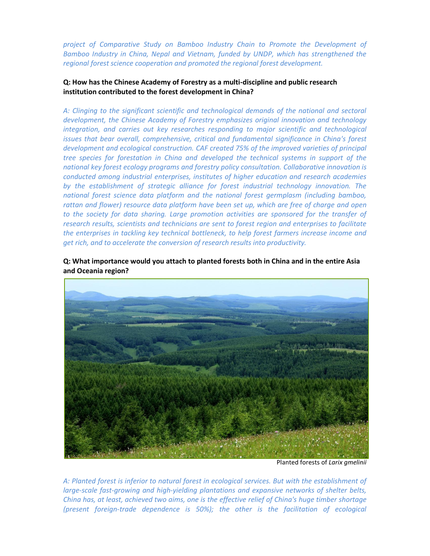*project of Comparative Study on Bamboo Industry Chain to Promote the Development of Bamboo Industry in China, Nepal and Vietnam, funded by UNDP, which has strengthened the regional forest science cooperation and promoted the regional forest development.*

#### **Q: How has the Chinese Academy of Forestry as a multi-discipline and public research institution contributed to the forest development in China?**

*A: Clinging to the significant scientific and technological demands of the national and sectoral development, the Chinese Academy of Forestry emphasizes original innovation and technology integration, and carries out key researches responding to major scientific and technological issues that bear overall, comprehensive, critical and fundamental significance in China's forest development and ecological construction. CAF created 75% of the improved varieties of principal tree species for forestation in China and developed the technical systems in support of the national key forest ecology programs and forestry policy consultation. Collaborative innovation is conducted among industrial enterprises, institutes of higher education and research academies by the establishment of strategic alliance for forest industrial technology innovation. The national forest science data platform and the national forest germplasm (including bamboo, rattan and flower) resource data platform have been set up, which are free of charge and open*  to the society for data sharing. Large promotion activities are sponsored for the transfer of *research results, scientists and technicians are sent to forest region and enterprises to facilitate the enterprises in tackling key technical bottleneck, to help forest farmers increase income and get rich, and to accelerate the conversion of research results into productivity.*

**Q: What importance would you attach to planted forests both in China and in the entire Asia and Oceania region?** 



Planted forests of *Larix gmelinii*

*A: Planted forest is inferior to natural forest in ecological services. But with the establishment of large-scale fast-growing and high-yielding plantations and expansive networks of shelter belts, China has, at least, achieved two aims, one is the effective relief of China's huge timber shortage (present foreign-trade dependence is 50%); the other is the facilitation of ecological*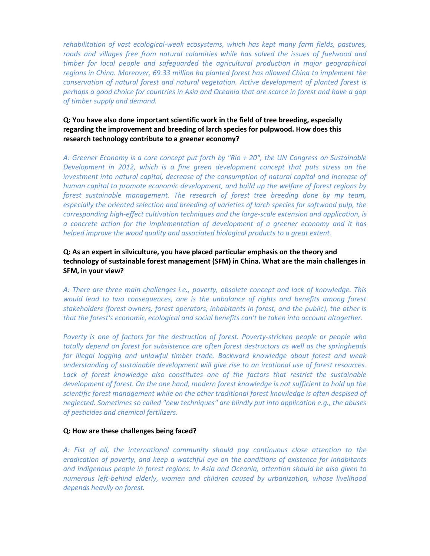*rehabilitation of vast ecological-weak ecosystems, which has kept many farm fields, pastures,*  roads and villages free from natural calamities while has solved the issues of fuelwood and *timber for local people and safeguarded the agricultural production in major geographical regions in China. Moreover, 69.33 million ha planted forest has allowed China to implement the conservation of natural forest and natural vegetation. Active development of planted forest is perhaps a good choice for countries in Asia and Oceania that are scarce in forest and have a gap of timber supply and demand.*

#### **Q: You have also done important scientific work in the field of tree breeding, especially regarding the improvement and breeding of larch species for pulpwood. How does this research technology contribute to a greener economy?**

*A: Greener Economy is a core concept put forth by "Rio + 20", the UN Congress on Sustainable Development in 2012, which is a fine green development concept that puts stress on the investment into natural capital, decrease of the consumption of natural capital and increase of human capital to promote economic development, and build up the welfare of forest regions by forest sustainable management. The research of forest tree breeding done by my team,*  especially the oriented selection and breeding of varieties of larch species for softwood pulp, the *corresponding high-effect cultivation techniques and the large-scale extension and application, is a concrete action for the implementation of development of a greener economy and it has helped improve the wood quality and associated biological products to a great extent.*

#### **Q: As an expert in silviculture, you have placed particular emphasis on the theory and technology of sustainable forest management (SFM) in China. What are the main challenges in SFM, in your view?**

*A: There are three main challenges i.e., poverty, obsolete concept and lack of knowledge. This would lead to two consequences, one is the unbalance of rights and benefits among forest stakeholders (forest owners, forest operators, inhabitants in forest, and the public), the other is that the forest's economic, ecological and social benefits can't be taken into account altogether.*

*Poverty is one of factors for the destruction of forest. Poverty-stricken people or people who totally depend on forest for subsistence are often forest destructors as well as the springheads for illegal logging and unlawful timber trade. Backward knowledge about forest and weak understanding of sustainable development will give rise to an irrational use of forest resources.*  Lack of forest knowledge also constitutes one of the factors that restrict the sustainable development of forest. On the one hand, modern forest knowledge is not sufficient to hold up the *scientific forest management while on the other traditional forest knowledge is often despised of neglected. Sometimes so called "new techniques" are blindly put into application e.g., the abuses of pesticides and chemical fertilizers.*

#### **Q: How are these challenges being faced?**

*A: Fist of all, the international community should pay continuous close attention to the eradication of poverty, and keep a watchful eye on the conditions of existence for inhabitants and indigenous people in forest regions. In Asia and Oceania, attention should be also given to numerous left-behind elderly, women and children caused by urbanization, whose livelihood depends heavily on forest.*